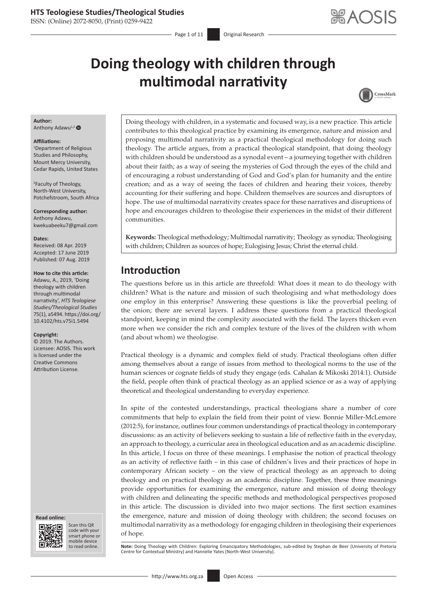ISSN: (Online) 2072-8050, (Print) 0259-9422

- Page 1 of 11 **Original Research** 

# **Doing theology with children through multimodal narrativity**



#### **Author:**

Anthony Adawu<sup>1,[2](https://orcid.org/0000-0002-7464-9879)</sup>

#### **Affiliations:**

1 Department of Religious Studies and Philosophy, Mount Mercy University, Cedar Rapids, United States

2 Faculty of Theology, North-West University, Potchefstroom, South Africa

**Corresponding author:** Anthony Adawu, [kwekuabeeku7@gmail.com](mailto:kwekuabeeku7@gmail.com)

#### **Dates:**

Received: 08 Apr. 2019 Accepted: 17 June 2019 Published: 07 Aug. 2019

#### **How to cite this article:**

Adawu, A., 2019, 'Doing theology with children through multimodal narrativity', *HTS Teologiese Studies/Theological Studies* 75(1), a5494. [https://doi.org/](https://doi.org/10.4102/hts.v75i1.5494) [10.4102/hts.v75i1.5494](https://doi.org/10.4102/hts.v75i1.5494)

#### **Copyright:**

© 2019. The Authors. Licensee: AOSIS. This work is licensed under the Creative Commons Attribution License.





Scan this QR code with your Scan this QR<br>code with your<br>smart phone or<br>mobile device mobile device to read online.

Doing theology with children, in a systematic and focused way, is a new practice. This article contributes to this theological practice by examining its emergence, nature and mission and proposing multimodal narrativity as a practical theological methodology for doing such theology. The article argues, from a practical theological standpoint, that doing theology with children should be understood as a synodal event – a journeying together with children about their faith; as a way of seeing the mysteries of God through the eyes of the child and of encouraging a robust understanding of God and God's plan for humanity and the entire creation; and as a way of seeing the faces of children and hearing their voices, thereby accounting for their suffering and hope. Children themselves are sources and disruptors of hope. The use of multimodal narrativity creates space for these narratives and disruptions of hope and encourages children to theologise their experiences in the midst of their different communities.

**Keywords:** Theological methodology; Multimodal narrativity; Theology as synodia; Theologising with children; Children as sources of hope; Eulogising Jesus; Christ the eternal child.

## **Introduction**

The questions before us in this article are threefold: What does it mean to do theology with children? What is the nature and mission of such theologising and what methodology does one employ in this enterprise? Answering these questions is like the proverbial peeling of the onion; there are several layers. I address these questions from a practical theological standpoint, keeping in mind the complexity associated with the field. The layers thicken even more when we consider the rich and complex texture of the lives of the children with whom (and about whom) we theologise.

Practical theology is a dynamic and complex field of study. Practical theologians often differ among themselves about a range of issues from method to theological norms to the use of the human sciences or cognate fields of study they engage (eds. Cahalan & Mikoski 2014:1). Outside the field, people often think of practical theology as an applied science or as a way of applying theoretical and theological understanding to everyday experience.

In spite of the contested understandings, practical theologians share a number of core commitments that help to explain the field from their point of view. Bonnie Miller-McLemore (2012:5), for instance, outlines four common understandings of practical theology in contemporary discussions: as an activity of believers seeking to sustain a life of reflective faith in the everyday, an approach to theology, a curricular area in theological education and as an academic discipline. In this article, I focus on three of these meanings. I emphasise the notion of practical theology as an activity of reflective faith – in this case of children's lives and their practices of hope in contemporary African society – on the view of practical theology as an approach to doing theology and on practical theology as an academic discipline. Together, these three meanings provide opportunities for examining the emergence, nature and mission of doing theology with children and delineating the specific methods and methodological perspectives proposed in this article. The discussion is divided into two major sections. The first section examines the emergence, nature and mission of doing theology with children; the second focuses on multimodal narrativity as a methodology for engaging children in theologising their experiences of hope.

to read online. **Note:** Doing Theology with Children: Exploring Emancipatory Methodologies, sub-edited by Stephan de Beer (University of Pretoria<br>Centre for Contextual Ministry) and Hannelie Yates (North-West University).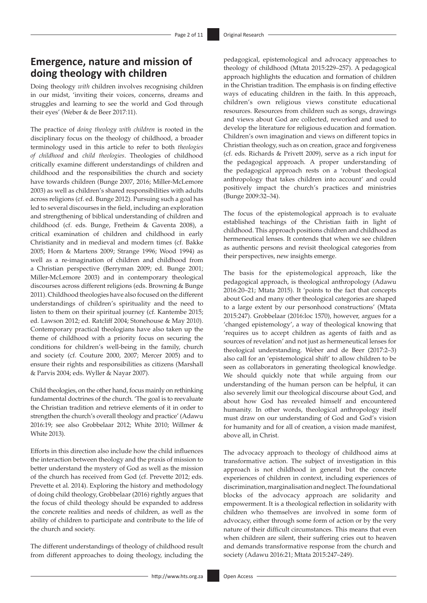### **Emergence, nature and mission of doing theology with children**

Doing theology *with* children involves recognising children in our midst, 'inviting their voices, concerns, dreams and struggles and learning to see the world and God through their eyes' (Weber & de Beer 2017:11).

The practice of *doing theology with children* is rooted in the disciplinary focus on the theology of childhood, a broader terminology used in this article to refer to both *theologies of childhood* and *child theologies*. Theologies of childhood critically examine different understandings of children and childhood and the responsibilities the church and society have towards children (Bunge 2007, 2016; Miller-McLemore 2003) as well as children's shared responsibilities with adults across religions (cf. ed. Bunge 2012). Pursuing such a goal has led to several discourses in the field, including an exploration and strengthening of biblical understanding of children and childhood (cf. eds. Bunge, Fretheim & Gaventa 2008), a critical examination of children and childhood in early Christianity and in medieval and modern times (cf. Bakke 2005; Horn & Martens 2009; Strange 1996; Wood 1994) as well as a re-imagination of children and childhood from a Christian perspective (Berryman 2009; ed. Bunge 2001; Miller-McLemore 2003) and in contemporary theological discourses across different religions (eds. Browning & Bunge 2011). Childhood theologies have also focused on the different understandings of children's spirituality and the need to listen to them on their spiritual journey (cf. Kantembe 2015; ed. Lawson 2012; ed. Ratcliff 2004; Stonehouse & May 2010). Contemporary practical theologians have also taken up the theme of childhood with a priority focus on securing the conditions for children's well-being in the family, church and society (cf. Couture 2000, 2007; Mercer 2005) and to ensure their rights and responsibilities as citizens (Marshall & Parvis 2004; eds. Wyller & Nayar 2007).

Child theologies, on the other hand, focus mainly on rethinking fundamental doctrines of the church. 'The goal is to reevaluate the Christian tradition and retrieve elements of it in order to strengthen the church's overall theology and practice' (Adawu 2016:19; see also Grobbelaar 2012; White 2010; Willmer & White 2013).

Efforts in this direction also include how the child influences the interaction between theology and the praxis of mission to better understand the mystery of God as well as the mission of the church has received from God (cf. Prevette 2012; eds. Prevette et al. 2014). Exploring the history and methodology of doing child theology, Grobbelaar (2016) rightly argues that the focus of child theology should be expanded to address the concrete realities and needs of children, as well as the ability of children to participate and contribute to the life of the church and society.

The different understandings of theology of childhood result from different approaches to doing theology, including the

pedagogical, epistemological and advocacy approaches to theology of childhood (Mtata 2015:229–257). A pedagogical approach highlights the education and formation of children in the Christian tradition. The emphasis is on finding effective ways of educating children in the faith. In this approach, children's own religious views constitute educational resources. Resources from children such as songs, drawings and views about God are collected, reworked and used to develop the literature for religious education and formation. Children's own imagination and views on different topics in Christian theology, such as on creation, grace and forgiveness (cf. eds. Richards & Privett 2009), serve as a rich input for the pedagogical approach. A proper understanding of the pedagogical approach rests on a 'robust theological anthropology that takes children into account' and could positively impact the church's practices and ministries (Bunge 2009:32–34).

The focus of the epistemological approach is to evaluate established teachings of the Christian faith in light of childhood. This approach positions children and childhood as hermeneutical lenses. It contends that when we see children as authentic persons and revisit theological categories from their perspectives, new insights emerge.

The basis for the epistemological approach, like the pedagogical approach, is theological anthropology (Adawu 2016:20–21; Mtata 2015). It 'points to the fact that concepts about God and many other theological categories are shaped to a large extent by our personhood constructions' (Mtata 2015:247). Grobbelaar (2016:loc 1570), however, argues for a 'changed epistemology', a way of theological knowing that 'requires us to accept children as agents of faith and as sources of revelation' and not just as hermeneutical lenses for theological understanding. Weber and de Beer (2017:2–3) also call for an 'epistemological shift' to allow children to be seen as collaborators in generating theological knowledge. We should quickly note that while arguing from our understanding of the human person can be helpful, it can also severely limit our theological discourse about God, and about how God has revealed himself and encountered humanity. In other words, theological anthropology itself must draw on our understanding of God and God's vision for humanity and for all of creation, a vision made manifest, above all, in Christ.

The advocacy approach to theology of childhood aims at transformative action. The subject of investigation in this approach is not childhood in general but the concrete experiences of children in context, including experiences of discrimination, marginalisation and neglect. The foundational blocks of the advocacy approach are solidarity and empowerment. It is a theological reflection in solidarity with children who themselves are involved in some form of advocacy, either through some form of action or by the very nature of their difficult circumstances. This means that even when children are silent, their suffering cries out to heaven and demands transformative response from the church and society (Adawu 2016:21; Mtata 2015:247–249).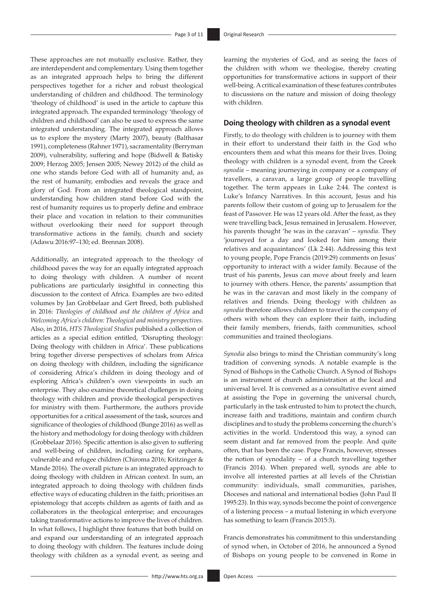These approaches are not mutually exclusive. Rather, they are interdependent and complementary. Using them together as an integrated approach helps to bring the different perspectives together for a richer and robust theological understanding of children and childhood. The terminology 'theology of childhood' is used in the article to capture this integrated approach. The expanded terminology 'theology of children and childhood' can also be used to express the same integrated understanding. The integrated approach allows us to explore the mystery (Marty 2007), beauty (Balthasar 1991), completeness (Rahner 1971), sacramentality (Berryman 2009), vulnerability, suffering and hope (Bidwell & Batisky 2009; Herzog 2005; Jensen 2005; Newey 2012) of the child as one who stands before God with all of humanity and, as the rest of humanity, embodies and reveals the grace and glory of God. From an integrated theological standpoint, understanding how children stand before God with the rest of humanity requires us to properly define and embrace their place and vocation in relation to their communities without overlooking their need for support through transformative actions in the family, church and society (Adawu 2016:97–130; ed. Brennan 2008).

Additionally, an integrated approach to the theology of childhood paves the way for an equally integrated approach to doing theology with children. A number of recent publications are particularly insightful in connecting this discussion to the context of Africa. Examples are two edited volumes by Jan Grobbelaar and Gert Breed, both published in 2016: *Theologies of childhood and the children of Africa* and *Welcoming Africa's children: Theological and ministry perspectives*. Also, in 2016, *HTS Theological Studies* published a collection of articles as a special edition entitled, 'Disrupting theology: Doing theology with children in Africa'. These publications bring together diverse perspectives of scholars from Africa on doing theology with children, including the significance of considering Africa's children in doing theology and of exploring Africa's children's own viewpoints in such an enterprise. They also examine theoretical challenges in doing theology with children and provide theological perspectives for ministry with them. Furthermore, the authors provide opportunities for a critical assessment of the task, sources and significance of theologies of childhood (Bunge 2016) as well as the history and methodology for doing theology with children (Grobbelaar 2016). Specific attention is also given to suffering and well-being of children, including caring for orphans, vulnerable and refugee children (Chiroma 2016; Kritzinger & Mande 2016). The overall picture is an integrated approach to doing theology with children in African context. In sum, an integrated approach to doing theology with children finds effective ways of educating children in the faith; prioritises an epistemology that accepts children as agents of faith and as collaborators in the theological enterprise; and encourages taking transformative actions to improve the lives of children. In what follows, I highlight three features that both build on and expand our understanding of an integrated approach to doing theology with children. The features include doing theology with children as a synodal event, as seeing and

learning the mysteries of God, and as seeing the faces of the children with whom we theologise, thereby creating opportunities for transformative actions in support of their well-being. A critical examination of these features contributes to discussions on the nature and mission of doing theology with children.

#### **Doing theology with children as a synodal event**

Firstly, to do theology with children is to journey with them in their effort to understand their faith in the God who encounters them and what this means for their lives. Doing theology with children is a synodal event, from the Greek *synodia* – meaning journeying in company or a company of travellers, a caravan, a large group of people travelling together. The term appears in Luke 2:44. The context is Luke's Infancy Narratives. In this account, Jesus and his parents follow their custom of going up to Jerusalem for the feast of Passover. He was 12 years old. After the feast, as they were travelling back, Jesus remained in Jerusalem. However, his parents thought 'he was in the caravan' – *synodia*. They 'journeyed for a day and looked for him among their relatives and acquaintances' (Lk 2:44). Addressing this text to young people, Pope Francis (2019:29) comments on Jesus' opportunity to interact with a wider family. Because of the trust of his parents, Jesus can move about freely and learn to journey with others. Hence, the parents' assumption that he was in the caravan and most likely in the company of relatives and friends. Doing theology with children as *synodia* therefore allows children to travel in the company of others with whom they can explore their faith, including their family members, friends, faith communities, school communities and trained theologians.

*Synodia* also brings to mind the Christian community's long tradition of convening synods. A notable example is the Synod of Bishops in the Catholic Church. A Synod of Bishops is an instrument of church administration at the local and universal level. It is convened as a consultative event aimed at assisting the Pope in governing the universal church, particularly in the task entrusted to him to protect the church, increase faith and traditions, maintain and confirm church disciplines and to study the problems concerning the church's activities in the world. Understood this way, a synod can seem distant and far removed from the people. And quite often, that has been the case. Pope Francis, however, stresses the notion of synodality – of a church travelling together (Francis 2014). When prepared well, synods are able to involve all interested parties at all levels of the Christian community: individuals, small communities, parishes, Dioceses and national and international bodies (John Paul II 1995:23). In this way, synods become the point of convergence of a listening process – a mutual listening in which everyone has something to learn (Francis 2015:3).

Francis demonstrates his commitment to this understanding of synod when, in October of 2016, he announced a Synod of Bishops on young people to be convened in Rome in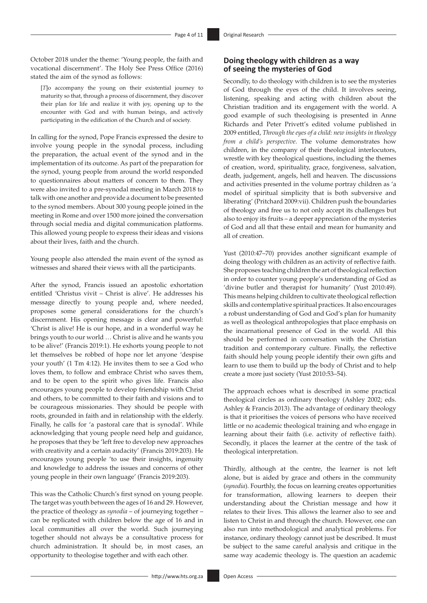October 2018 under the theme: 'Young people, the faith and vocational discernment'. The Holy See Press Office (2016) stated the aim of the synod as follows:

[*T*]o accompany the young on their existential journey to maturity so that, through a process of discernment, they discover their plan for life and realize it with joy, opening up to the encounter with God and with human beings, and actively participating in the edification of the Church and of society.

In calling for the synod, Pope Francis expressed the desire to involve young people in the synodal process, including the preparation, the actual event of the synod and in the implementation of its outcome. As part of the preparation for the synod, young people from around the world responded to questionnaires about matters of concern to them. They were also invited to a pre-synodal meeting in March 2018 to talk with one another and provide a document to be presented to the synod members. About 300 young people joined in the meeting in Rome and over 1500 more joined the conversation through social media and digital communication platforms. This allowed young people to express their ideas and visions about their lives, faith and the church.

Young people also attended the main event of the synod as witnesses and shared their views with all the participants.

After the synod, Francis issued an apostolic exhortation entitled 'Christus vivit – Christ is alive'. He addresses his message directly to young people and, where needed, proposes some general considerations for the church's discernment. His opening message is clear and powerful: 'Christ is alive! He is our hope, and in a wonderful way he brings youth to our world … Christ is alive and he wants you to be alive!' (Francis 2019:1). He exhorts young people to not let themselves be robbed of hope nor let anyone 'despise your youth' (1 Tm 4:12). He invites them to see a God who loves them, to follow and embrace Christ who saves them, and to be open to the spirit who gives life. Francis also encourages young people to develop friendship with Christ and others, to be committed to their faith and visions and to be courageous missionaries. They should be people with roots, grounded in faith and in relationship with the elderly. Finally, he calls for 'a pastoral care that is synodal'. While acknowledging that young people need help and guidance, he proposes that they be 'left free to develop new approaches with creativity and a certain audacity' (Francis 2019:203). He encourages young people 'to use their insights, ingenuity and knowledge to address the issues and concerns of other young people in their own language' (Francis 2019:203).

This was the Catholic Church's first synod on young people. The target was youth between the ages of 16 and 29. However, the practice of theology as *synodia* – of journeying together – can be replicated with children below the age of 16 and in local communities all over the world. Such journeying together should not always be a consultative process for church administration. It should be, in most cases, an opportunity to theologise together and with each other.

#### **Doing theology with children as a way of seeing the mysteries of God**

Secondly, to do theology with children is to see the mysteries of God through the eyes of the child. It involves seeing, listening, speaking and acting with children about the Christian tradition and its engagement with the world. A good example of such theologising is presented in Anne Richards and Peter Privett's edited volume published in 2009 entitled, *Through the eyes of a child: new insights in theology from a child's perspective*. The volume demonstrates how children, in the company of their theological interlocutors, wrestle with key theological questions, including the themes of creation, word, spirituality, grace, forgiveness, salvation, death, judgement, angels, hell and heaven. The discussions and activities presented in the volume portray children as 'a model of spiritual simplicity that is both subversive and liberating' (Pritchard 2009:vii). Children push the boundaries of theology and free us to not only accept its challenges but also to enjoy its fruits – a deeper appreciation of the mysteries of God and all that these entail and mean for humanity and all of creation.

Yust (2010:47–70) provides another significant example of doing theology with children as an activity of reflective faith. She proposes teaching children the art of theological reflection in order to counter young people's understanding of God as 'divine butler and therapist for humanity' (Yust 2010:49). This means helping children to cultivate theological reflection skills and contemplative spiritual practices. It also encourages a robust understanding of God and God's plan for humanity as well as theological anthropologies that place emphasis on the incarnational presence of God in the world. All this should be performed in conversation with the Christian tradition and contemporary culture. Finally, the reflective faith should help young people identify their own gifts and learn to use them to build up the body of Christ and to help create a more just society (Yust 2010:53–54).

The approach echoes what is described in some practical theological circles as ordinary theology (Ashley 2002; eds. Ashley & Francis 2013). The advantage of ordinary theology is that it prioritises the voices of persons who have received little or no academic theological training and who engage in learning about their faith (i.e. activity of reflective faith). Secondly, it places the learner at the centre of the task of theological interpretation.

Thirdly, although at the centre, the learner is not left alone, but is aided by grace and others in the community (*synodia*). Fourthly, the focus on learning creates opportunities for transformation, allowing learners to deepen their understanding about the Christian message and how it relates to their lives. This allows the learner also to see and listen to Christ in and through the church. However, one can also run into methodological and analytical problems. For instance, ordinary theology cannot just be described. It must be subject to the same careful analysis and critique in the same way academic theology is. The question an academic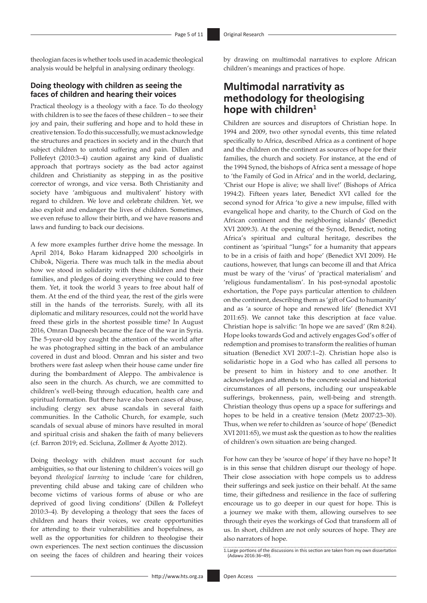theologian faces is whether tools used in academic theological analysis would be helpful in analysing ordinary theology.

### **Doing theology with children as seeing the faces of children and hearing their voices**

Practical theology is a theology with a face. To do theology with children is to see the faces of these children – to see their joy and pain, their suffering and hope and to hold these in creative tension. To do this successfully, we must acknowledge the structures and practices in society and in the church that subject children to untold suffering and pain. Dillen and Pollefeyt (2010:3–4) caution against any kind of dualistic approach that portrays society as the bad actor against children and Christianity as stepping in as the positive corrector of wrongs, and vice versa. Both Christianity and society have 'ambiguous and multivalent' history with regard to children. We love and celebrate children. Yet, we also exploit and endanger the lives of children. Sometimes, we even refuse to allow their birth, and we have reasons and laws and funding to back our decisions.

A few more examples further drive home the message. In April 2014, Boko Haram kidnapped 200 schoolgirls in Chibok, Nigeria. There was much talk in the media about how we stood in solidarity with these children and their families, and pledges of doing everything we could to free them. Yet, it took the world 3 years to free about half of them. At the end of the third year, the rest of the girls were still in the hands of the terrorists. Surely, with all its diplomatic and military resources, could not the world have freed these girls in the shortest possible time? In August 2016, Omran Daqneesh became the face of the war in Syria. The 5-year-old boy caught the attention of the world after he was photographed sitting in the back of an ambulance covered in dust and blood. Omran and his sister and two brothers were fast asleep when their house came under fire during the bombardment of Aleppo. The ambivalence is also seen in the church. As church, we are committed to children's well-being through education, health care and spiritual formation. But there have also been cases of abuse, including clergy sex abuse scandals in several faith communities. In the Catholic Church, for example, such scandals of sexual abuse of minors have resulted in moral and spiritual crisis and shaken the faith of many believers (cf. Barron 2019; ed. Scicluna, Zollmer & Ayotte 2012).

Doing theology with children must account for such ambiguities, so that our listening to children's voices will go beyond *theological learning* to include 'care for children, preventing child abuse and taking care of children who become victims of various forms of abuse or who are deprived of good living conditions' (Dillen & Pollefeyt 2010:3–4). By developing a theology that sees the faces of children and hears their voices, we create opportunities for attending to their vulnerabilities and hopefulness, as well as the opportunities for children to theologise their own experiences. The next section continues the discussion on seeing the faces of children and hearing their voices

by drawing on multimodal narratives to explore African children's meanings and practices of hope.

# **Multimodal narrativity as methodology for theologising hope with children<sup>1</sup>**

Children are sources and disruptors of Christian hope. In 1994 and 2009, two other synodal events, this time related specifically to Africa, described Africa as a continent of hope and the children on the continent as sources of hope for their families, the church and society. For instance, at the end of the 1994 Synod, the bishops of Africa sent a message of hope to 'the Family of God in Africa' and in the world, declaring, 'Christ our Hope is alive; we shall live!' (Bishops of Africa 1994:2). Fifteen years later, Benedict XVI called for the second synod for Africa 'to give a new impulse, filled with evangelical hope and charity, to the Church of God on the African continent and the neighboring islands' (Benedict XVI 2009:3). At the opening of the Synod, Benedict, noting Africa's spiritual and cultural heritage, describes the continent as 'spiritual "lungs" for a humanity that appears to be in a crisis of faith and hope' (Benedict XVI 2009). He cautions, however, that lungs can become ill and that Africa must be wary of the 'virus' of 'practical materialism' and 'religious fundamentalism'. In his post-synodal apostolic exhortation, the Pope pays particular attention to children on the continent, describing them as 'gift of God to humanity' and as 'a source of hope and renewed life' (Benedict XVI 2011:65). We cannot take this description at face value. Christian hope is salvific: 'In hope we are saved' (Rm 8:24). Hope looks towards God and actively engages God's offer of redemption and promises to transform the realities of human situation (Benedict XVI 2007:1–2). Christian hope also is solidaristic hope in a God who has called all persons to be present to him in history and to one another. It acknowledges and attends to the concrete social and historical circumstances of all persons, including our unspeakable sufferings, brokenness, pain, well-being and strength. Christian theology thus opens up a space for sufferings and hopes to be held in a creative tension (Metz 2007:23–30). Thus, when we refer to children as 'source of hope' (Benedict XVI 2011:65), we must ask the question as to how the realities of children's own situation are being changed.

For how can they be 'source of hope' if they have no hope? It is in this sense that children disrupt our theology of hope. Their close association with hope compels us to address their sufferings and seek justice on their behalf. At the same time, their giftedness and resilience in the face of suffering encourage us to go deeper in our quest for hope. This is a journey we make with them, allowing ourselves to see through their eyes the workings of God that transform all of us. In short, children are not only sources of hope. They are also narrators of hope.

1.Large portions of the discussions in this section are taken from my own dissertation (Adawu 2016:36–49).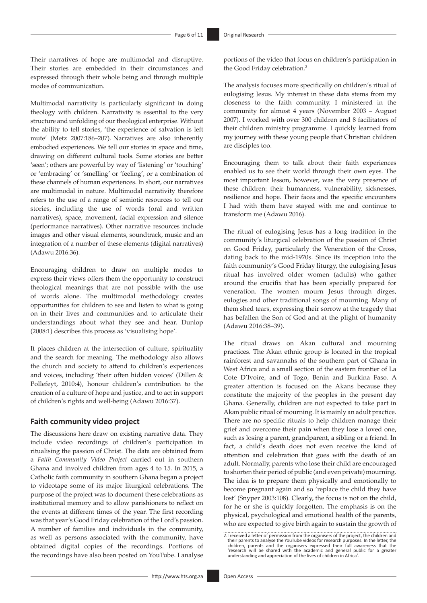Their narratives of hope are multimodal and disruptive. Their stories are embedded in their circumstances and expressed through their whole being and through multiple modes of communication.

Multimodal narrativity is particularly significant in doing theology with children. Narrativity is essential to the very structure and unfolding of our theological enterprise. Without the ability to tell stories, 'the experience of salvation is left mute' (Metz 2007:186–207). Narratives are also inherently embodied experiences. We tell our stories in space and time, drawing on different cultural tools. Some stories are better 'seen'; others are powerful by way of 'listening' or 'touching' or 'embracing' or 'smelling' or 'feeling', or a combination of these channels of human experiences. In short, our narratives are multimodal in nature. Multimodal narrativity therefore refers to the use of a range of semiotic resources to tell our stories, including the use of words (oral and written narratives), space, movement, facial expression and silence (performance narratives). Other narrative resources include images and other visual elements, soundtrack, music and an integration of a number of these elements (digital narratives) (Adawu 2016:36).

Encouraging children to draw on multiple modes to express their views offers them the opportunity to construct theological meanings that are not possible with the use of words alone. The multimodal methodology creates opportunities for children to see and listen to what is going on in their lives and communities and to articulate their understandings about what they see and hear. Dunlop (2008:1) describes this process as 'visualising hope'.

It places children at the intersection of culture, spirituality and the search for meaning. The methodology also allows the church and society to attend to children's experiences and voices, including 'their often hidden voices' (Dillen & Pollefeyt, 2010:4), honour children's contribution to the creation of a culture of hope and justice, and to act in support of children's rights and well-being (Adawu 2016:37).

#### **Faith community video project**

The discussions here draw on existing narrative data. They include video recordings of children's participation in ritualising the passion of Christ. The data are obtained from a *Faith Community Video Project* carried out in southern Ghana and involved children from ages 4 to 15. In 2015, a Catholic faith community in southern Ghana began a project to videotape some of its major liturgical celebrations. The purpose of the project was to document these celebrations as institutional memory and to allow parishioners to reflect on the events at different times of the year. The first recording was that year's Good Friday celebration of the Lord's passion. A number of families and individuals in the community, as well as persons associated with the community, have obtained digital copies of the recordings. Portions of the recordings have also been posted on YouTube. I analyse

portions of the video that focus on children's participation in the Good Friday celebration.<sup>2</sup>

The analysis focuses more specifically on children's ritual of eulogising Jesus. My interest in these data stems from my closeness to the faith community. I ministered in the community for almost 4 years (November 2003 – August 2007). I worked with over 300 children and 8 facilitators of their children ministry programme. I quickly learned from my journey with these young people that Christian children are disciples too.

Encouraging them to talk about their faith experiences enabled us to see their world through their own eyes. The most important lesson, however, was the very presence of these children: their humanness, vulnerability, sicknesses, resilience and hope. Their faces and the specific encounters I had with them have stayed with me and continue to transform me (Adawu 2016).

The ritual of eulogising Jesus has a long tradition in the community's liturgical celebration of the passion of Christ on Good Friday, particularly the Veneration of the Cross, dating back to the mid-1970s. Since its inception into the faith community's Good Friday liturgy, the eulogising Jesus ritual has involved older women (adults) who gather around the crucifix that has been specially prepared for veneration. The women mourn Jesus through dirges, eulogies and other traditional songs of mourning. Many of them shed tears, expressing their sorrow at the tragedy that has befallen the Son of God and at the plight of humanity (Adawu 2016:38–39).

The ritual draws on Akan cultural and mourning practices. The Akan ethnic group is located in the tropical rainforest and savannahs of the southern part of Ghana in West Africa and a small section of the eastern frontier of La Cote D'Ivoire, and of Togo, Benin and Burkina Faso. A greater attention is focused on the Akans because they constitute the majority of the peoples in the present day Ghana. Generally, children are not expected to take part in Akan public ritual of mourning. It is mainly an adult practice. There are no specific rituals to help children manage their grief and overcome their pain when they lose a loved one, such as losing a parent, grandparent, a sibling or a friend. In fact, a child's death does not even receive the kind of attention and celebration that goes with the death of an adult. Normally, parents who lose their child are encouraged to shorten their period of public (and even private) mourning. The idea is to prepare them physically and emotionally to become pregnant again and so 'replace the child they have lost' (Snyper 2003:108). Clearly, the focus is not on the child, for he or she is quickly forgotten. The emphasis is on the physical, psychological and emotional health of the parents, who are expected to give birth again to sustain the growth of

<sup>2.</sup>I received a letter of permission from the organisers of the project, the children and their parents to analyse the YouTube videos for research purposes. In the letter, the children, parents and the organisers expressed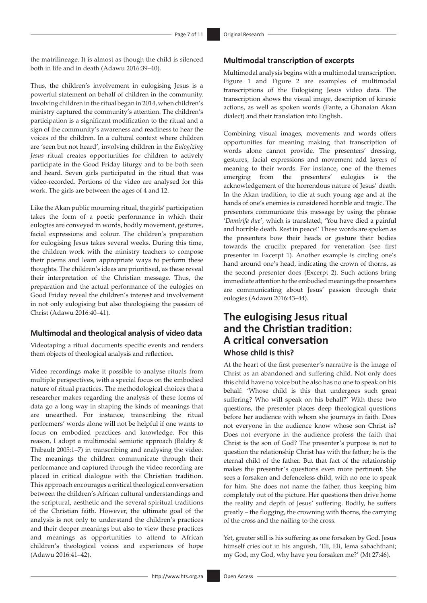the matrilineage. It is almost as though the child is silenced both in life and in death (Adawu 2016:39–40).

Thus, the children's involvement in eulogising Jesus is a powerful statement on behalf of children in the community. Involving children in the ritual began in 2014, when children's ministry captured the community's attention. The children's participation is a significant modification to the ritual and a sign of the community's awareness and readiness to hear the voices of the children. In a cultural context where children are 'seen but not heard', involving children in the *Eulogizing Jesus* ritual creates opportunities for children to actively participate in the Good Friday liturgy and to be both seen and heard. Seven girls participated in the ritual that was video-recorded. Portions of the video are analysed for this work. The girls are between the ages of 4 and 12.

Like the Akan public mourning ritual, the girls' participation takes the form of a poetic performance in which their eulogies are conveyed in words, bodily movement, gestures, facial expressions and colour. The children's preparation for eulogising Jesus takes several weeks. During this time, the children work with the ministry teachers to compose their poems and learn appropriate ways to perform these thoughts. The children's ideas are prioritised, as these reveal their interpretation of the Christian message. Thus, the preparation and the actual performance of the eulogies on Good Friday reveal the children's interest and involvement in not only eulogising but also theologising the passion of Christ (Adawu 2016:40–41).

#### **Multimodal and theological analysis of video data**

Videotaping a ritual documents specific events and renders them objects of theological analysis and reflection.

Video recordings make it possible to analyse rituals from multiple perspectives, with a special focus on the embodied nature of ritual practices. The methodological choices that a researcher makes regarding the analysis of these forms of data go a long way in shaping the kinds of meanings that are unearthed. For instance, transcribing the ritual performers' words alone will not be helpful if one wants to focus on embodied practices and knowledge. For this reason, I adopt a multimodal semiotic approach (Baldry & Thibault 2005:1–7) in transcribing and analysing the video. The meanings the children communicate through their performance and captured through the video recording are placed in critical dialogue with the Christian tradition. This approach encourages a critical theological conversation between the children's African cultural understandings and the scriptural, aesthetic and the several spiritual traditions of the Christian faith. However, the ultimate goal of the analysis is not only to understand the children's practices and their deeper meanings but also to view these practices and meanings as opportunities to attend to African children's theological voices and experiences of hope (Adawu 2016:41–42).

### **Multimodal transcription of excerpts**

Multimodal analysis begins with a multimodal transcription. Figure 1 and Figure 2 are examples of multimodal transcriptions of the Eulogising Jesus video data. The transcription shows the visual image, description of kinesic actions, as well as spoken words (Fante, a Ghanaian Akan dialect) and their translation into English.

Combining visual images, movements and words offers opportunities for meaning making that transcription of words alone cannot provide. The presenters' dressing, gestures, facial expressions and movement add layers of meaning to their words. For instance, one of the themes emerging from the presenters' eulogies is the acknowledgement of the horrendous nature of Jesus' death. In the Akan tradition, to die at such young age and at the hands of one's enemies is considered horrible and tragic. The presenters communicate this message by using the phrase '*Damirifa due*', which is translated, 'You have died a painful and horrible death. Rest in peace!' These words are spoken as the presenters bow their heads or gesture their bodies towards the crucifix prepared for veneration (see first presenter in Excerpt 1). Another example is circling one's hand around one's head, indicating the crown of thorns, as the second presenter does (Excerpt 2). Such actions bring immediate attention to the embodied meanings the presenters are communicating about Jesus' passion through their eulogies (Adawu 2016:43–44).

# **The eulogising Jesus ritual and the Christian tradition: A critical conversation Whose child is this?**

At the heart of the first presenter's narrative is the image of Christ as an abandoned and suffering child. Not only does this child have no voice but he also has no one to speak on his behalf: 'Whose child is this that undergoes such great suffering? Who will speak on his behalf?' With these two questions, the presenter places deep theological questions before her audience with whom she journeys in faith. Does not everyone in the audience know whose son Christ is? Does not everyone in the audience profess the faith that Christ is the son of God? The presenter's purpose is not to question the relationship Christ has with the father; he is the eternal child of the father. But that fact of the relationship makes the presenter's questions even more pertinent. She sees a forsaken and defenceless child, with no one to speak for him. She does not name the father, thus keeping him completely out of the picture. Her questions then drive home the reality and depth of Jesus' suffering. Bodily, he suffers greatly – the flogging, the crowning with thorns, the carrying of the cross and the nailing to the cross.

Yet, greater still is his suffering as one forsaken by God. Jesus himself cries out in his anguish, 'Eli, Eli, lema sabachthani; my God, my God, why have you forsaken me?' (Mt 27:46).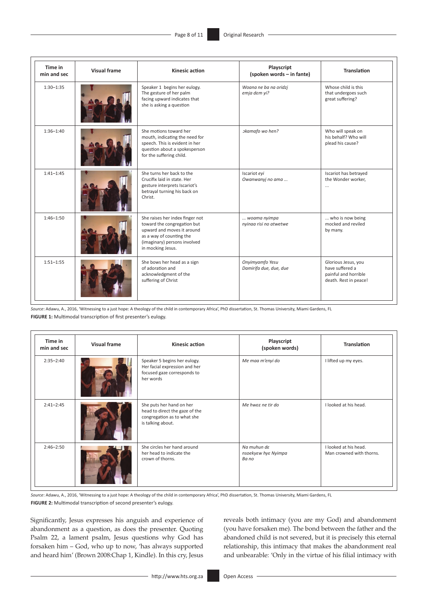| Time in<br>min and sec | <b>Visual frame</b> | <b>Kinesic action</b>                                                                                                                                                         | Playscript<br>(spoken words - in fante)   | <b>Translation</b>                                                                      |
|------------------------|---------------------|-------------------------------------------------------------------------------------------------------------------------------------------------------------------------------|-------------------------------------------|-----------------------------------------------------------------------------------------|
| $1:30 - 1:35$          |                     | Speaker 1 begins her eulogy.<br>The gesture of her palm<br>facing upward indicates that<br>she is asking a question                                                           | Woana ne ba na oridzi<br>emja dem yi?     | Whose child is this<br>that undergoes such<br>great suffering?                          |
| $1:36 - 1:40$          |                     | She motions toward her<br>mouth, indicating the need for<br>speech. This is evident in her<br>question about a spokesperson<br>for the suffering child.                       | okamafo wo hen?                           | Who will speak on<br>his behalf? Who will<br>plead his cause?                           |
| $1:41 - 1:45$          |                     | She turns her back to the<br>Crucifix laid in state. Her<br>gesture interprets Iscariot's<br>betrayal turning his back on<br>Christ.                                          | Iscariot evi<br>Owanwanyj no ama          | Iscariot has betrayed<br>the Wonder worker,<br>$\cdots$                                 |
| $1:46 - 1:50$          |                     | She raises her index finger not<br>toward the congregation but<br>upward and moves it around<br>as a way of counting the<br>(imaginary) persons involved<br>in mocking Jesus. | woama nyimpa<br>nyinaa risi no atwetwe    | who is now being<br>mocked and reviled<br>by many.                                      |
| $1:51 - 1:55$          |                     | She bows her head as a sign<br>of adoration and<br>acknowledgment of the<br>suffering of Christ                                                                               | Onyimyamfo Yesu<br>Damirifa due, due, due | Glorious Jesus, you<br>have suffered a<br>painful and horrible<br>death. Rest in peace! |

*Source*: Adawu, A., 2016, 'Witnessing to a just hope: A theology of the child in contemporary Africa', PhD dissertation, St. Thomas University, Miami Gardens, FL **FIGURE 1:** Multimodal transcription of first presenter's eulogy.

| Time in<br>min and sec | <b>Visual frame</b> | <b>Kinesic action</b>                                                                                          | Playscript<br>(spoken words)                | <b>Translation</b>                                |
|------------------------|---------------------|----------------------------------------------------------------------------------------------------------------|---------------------------------------------|---------------------------------------------------|
| $2:35 - 2:40$          |                     | Speaker 5 begins her eulogy.<br>Her facial expression and her<br>focused gaze corresponds to<br>her words      | Me maa m'enyi do                            | I lifted up my eyes.                              |
| $2:41 - 2:45$          |                     | She puts her hand on her<br>head to direct the gaze of the<br>congregation as to what she<br>is talking about. | Me hwee ne tir do                           | I looked at his head.                             |
| $2:46 - 2:50$          |                     | She circles her hand around<br>her head to indicate the<br>crown of thorns.                                    | Na muhun de<br>nsoekyεw hyε Nyimpa<br>Ba no | I looked at his head.<br>Man crowned with thorns. |

*Source*: Adawu, A., 2016, 'Witnessing to a just hope: A theology of the child in contemporary Africa', PhD dissertation, St. Thomas University, Miami Gardens, FL **FIGURE 2:** Multimodal transcription of second presenter's eulogy.

Significantly, Jesus expresses his anguish and experience of abandonment as a question, as does the presenter. Quoting Psalm 22, a lament psalm, Jesus questions why God has forsaken him – God, who up to now, 'has always supported and heard him' (Brown 2008:Chap 1, Kindle). In this cry, Jesus

reveals both intimacy (you are my God) and abandonment (you have forsaken me). The bond between the father and the abandoned child is not severed, but it is precisely this eternal relationship, this intimacy that makes the abandonment real and unbearable: 'Only in the virtue of his filial intimacy with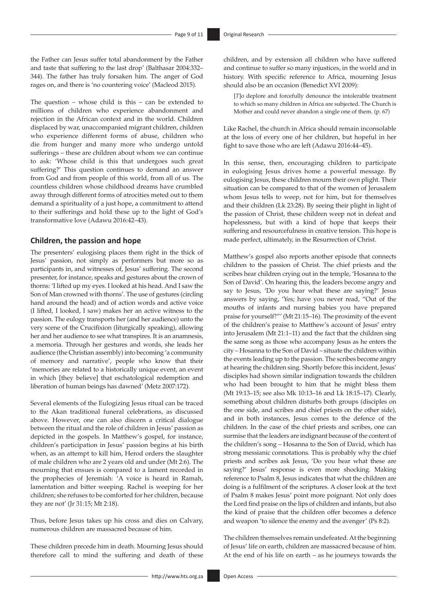the Father can Jesus suffer total abandonment by the Father and taste that suffering to the last drop' (Balthasar 2004:332– 344). The father has truly forsaken him. The anger of God rages on, and there is 'no countering voice' (Macleod 2015).

The question – whose child is this – can be extended to millions of children who experience abandonment and rejection in the African context and in the world. Children displaced by war, unaccompanied migrant children, children who experience different forms of abuse, children who die from hunger and many more who undergo untold sufferings – these are children about whom we can continue to ask: 'Whose child is this that undergoes such great suffering?' This question continues to demand an answer from God and from people of this world, from all of us. The countless children whose childhood dreams have crumbled away through different forms of atrocities meted out to them demand a spirituality of a just hope, a commitment to attend to their sufferings and hold these up to the light of God's transformative love (Adawu 2016:42–43).

#### **Children, the passion and hope**

The presenters' eulogising places them right in the thick of Jesus' passion, not simply as performers but more so as participants in, and witnesses of, Jesus' suffering. The second presenter, for instance, speaks and gestures about the crown of thorns: 'I lifted up my eyes. I looked at his head. And I saw the Son of Man crowned with thorns'. The use of gestures (circling hand around the head) and of action words and active voice (I lifted, I looked, I saw) makes her an active witness to the passion. The eulogy transports her (and her audience) unto the very scene of the Crucifixion (liturgically speaking), allowing her and her audience to see what transpires. It is an anamnesis, a memoria. Through her gestures and words, she leads her audience (the Christian assembly) into becoming 'a community of memory and narrative', people who know that their 'memories are related to a historically unique event, an event in which [they believe] that eschatological redemption and liberation of human beings has dawned' (Metz 2007:172).

Several elements of the Eulogizing Jesus ritual can be traced to the Akan traditional funeral celebrations, as discussed above. However, one can also discern a critical dialogue between the ritual and the role of children in Jesus' passion as depicted in the gospels. In Matthew's gospel, for instance, children's participation in Jesus' passion begins at his birth when, as an attempt to kill him, Herod orders the slaughter of male children who are 2 years old and under (Mt 2:6). The mourning that ensues is compared to a lament recorded in the prophecies of Jeremiah: 'A voice is heard in Ramah, lamentation and bitter weeping. Rachel is weeping for her children; she refuses to be comforted for her children, because they are not' (Jr 31:15; Mt 2:18).

Thus, before Jesus takes up his cross and dies on Calvary, numerous children are massacred because of him.

These children precede him in death. Mourning Jesus should therefore call to mind the suffering and death of these children, and by extension all children who have suffered and continue to suffer so many injustices, in the world and in history. With specific reference to Africa, mourning Jesus should also be an occasion (Benedict XVI 2009):

[*T*]o deplore and forcefully denounce the intolerable treatment to which so many children in Africa are subjected. The Church is Mother and could never abandon a single one of them. (p. 67)

Like Rachel, the church in Africa should remain inconsolable at the loss of every one of her children, but hopeful in her fight to save those who are left (Adawu 2016:44–45).

In this sense, then, encouraging children to participate in eulogising Jesus drives home a powerful message. By eulogising Jesus, these children mourn their own plight. Their situation can be compared to that of the women of Jerusalem whom Jesus tells to weep, not for him, but for themselves and their children (Lk 23:28). By seeing their plight in light of the passion of Christ, these children weep not in defeat and hopelessness, but with a kind of hope that keeps their suffering and resourcefulness in creative tension. This hope is made perfect, ultimately, in the Resurrection of Christ.

Matthew's gospel also reports another episode that connects children to the passion of Christ. The chief priests and the scribes hear children crying out in the temple, 'Hosanna to the Son of David'. On hearing this, the leaders become angry and say to Jesus, 'Do you hear what these are saying?' Jesus answers by saying, 'Yes; have you never read, "Out of the mouths of infants and nursing babies you have prepared praise for yourself?"' (Mt 21:15–16). The proximity of the event of the children's praise to Matthew's account of Jesus' entry into Jerusalem (Mt 21:1–11) and the fact that the children sing the same song as those who accompany Jesus as he enters the city – Hosanna to the Son of David – situate the children within the events leading up to the passion. The scribes become angry at hearing the children sing. Shortly before this incident, Jesus' disciples had shown similar indignation towards the children who had been brought to him that he might bless them (Mt 19:13–15; see also Mk 10:13–16 and Lk 18:15–17). Clearly, something about children disturbs both groups (disciples on the one side, and scribes and chief priests on the other side), and in both instances, Jesus comes to the defence of the children. In the case of the chief priests and scribes, one can surmise that the leaders are indignant because of the content of the children's song – Hosanna to the Son of David, which has strong messianic connotations. This is probably why the chief priests and scribes ask Jesus, 'Do you hear what these are saying?' Jesus' response is even more shocking. Making reference to Psalm 8, Jesus indicates that what the children are doing is a fulfilment of the scriptures. A closer look at the text of Psalm 8 makes Jesus' point more poignant. Not only does the Lord find praise on the lips of children and infants, but also the kind of praise that the children offer becomes a defence and weapon 'to silence the enemy and the avenger' (Ps 8:2).

The children themselves remain undefeated. At the beginning of Jesus' life on earth, children are massacred because of him. At the end of his life on earth – as he journeys towards the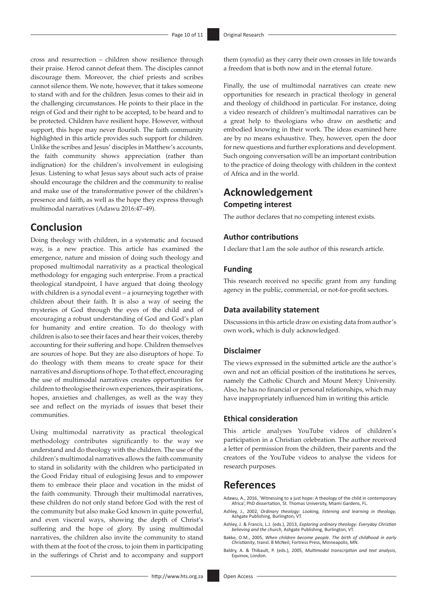cross and resurrection – children show resilience through their praise. Herod cannot defeat them. The disciples cannot discourage them. Moreover, the chief priests and scribes cannot silence them. We note, however, that it takes someone to stand with and for the children. Jesus comes to their aid in the challenging circumstances. He points to their place in the reign of God and their right to be accepted, to be heard and to be protected. Children have resilient hope. However, without support, this hope may never flourish. The faith community highlighted in this article provides such support for children. Unlike the scribes and Jesus' disciples in Matthew's accounts, the faith community shows appreciation (rather than indignation) for the children's involvement in eulogising Jesus. Listening to what Jesus says about such acts of praise should encourage the children and the community to realise and make use of the transformative power of the children's presence and faith, as well as the hope they express through multimodal narratives (Adawu 2016:47–49).

### **Conclusion**

Doing theology with children, in a systematic and focused way, is a new practice. This article has examined the emergence, nature and mission of doing such theology and proposed multimodal narrativity as a practical theological methodology for engaging such enterprise. From a practical theological standpoint, I have argued that doing theology with children is a synodal event – a journeying together with children about their faith. It is also a way of seeing the mysteries of God through the eyes of the child and of encouraging a robust understanding of God and God's plan for humanity and entire creation. To do theology with children is also to see their faces and hear their voices, thereby accounting for their suffering and hope. Children themselves are sources of hope. But they are also disruptors of hope. To do theology with them means to create space for their narratives and disruptions of hope. To that effect, encouraging the use of multimodal narratives creates opportunities for children to theologise their own experiences, their aspirations, hopes, anxieties and challenges, as well as the way they see and reflect on the myriads of issues that beset their communities.

Using multimodal narrativity as practical theological methodology contributes significantly to the way we understand and do theology with the children. The use of the children's multimodal narratives allows the faith community to stand in solidarity with the children who participated in the Good Friday ritual of eulogising Jesus and to empower them to embrace their place and vocation in the midst of the faith community. Through their multimodal narratives, these children do not only stand before God with the rest of the community but also make God known in quite powerful, and even visceral ways, showing the depth of Christ's suffering and the hope of glory. By using multimodal narratives, the children also invite the community to stand with them at the foot of the cross, to join them in participating in the sufferings of Christ and to accompany and support

them (*synodia*) as they carry their own crosses in life towards a freedom that is both now and in the eternal future.

Finally, the use of multimodal narratives can create new opportunities for research in practical theology in general and theology of childhood in particular. For instance, doing a video research of children's multimodal narratives can be a great help to theologians who draw on aesthetic and embodied knowing in their work. The ideas examined here are by no means exhaustive. They, however, open the door for new questions and further explorations and development. Such ongoing conversation will be an important contribution to the practice of doing theology with children in the context of Africa and in the world.

# **Acknowledgement Competing interest**

The author declares that no competing interest exists.

#### **Author contributions**

I declare that I am the sole author of this research article.

### **Funding**

This research received no specific grant from any funding agency in the public, commercial, or not-for-profit sectors.

#### **Data availability statement**

Discussions in this article draw on existing data from author's own work, which is duly acknowledged.

#### **Disclaimer**

The views expressed in the submitted article are the author's own and not an official position of the institutions he serves, namely the Catholic Church and Mount Mercy University. Also, he has no financial or personal relationships, which may have inappropriately influenced him in writing this article.

### **Ethical consideration**

This article analyses YouTube videos of children's participation in a Christian celebration. The author received a letter of permission from the children, their parents and the creators of the YouTube videos to analyse the videos for research purposes.

### **References**

Adawu, A., 2016, 'Witnessing to a just hope: A theology of the child in contemporary Africa', PhD dissertation, St. Thomas University, Miami Gardens, FL.

- Ashley, J., 2002, *Ordinary theology: Looking, listening and learning in theology*, Ashgate Publishing, Burlington, VT.
- Ashley, J. & Francis, L.J. (eds.), 2013, *Exploring ordinary theology: Everyday Christian believing and the church*, Ashgate Publishing, Burlington, VT.
- Bakke, O.M., 2005, *When children become people. The birth of childhood in early Christianity*, transl. B McNeil, Fortress Press, Minneapolis, MN.
- Baldry, A. & Thibault, P. (eds.), 2005, *Multimodal transcription and text analysis*,<br>Equinox, London.